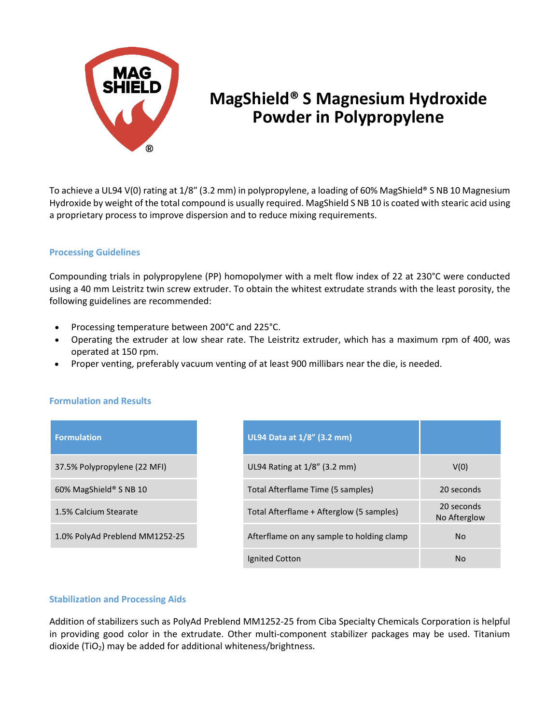

## **MagShield® S Magnesium Hydroxide Powder in Polypropylene**

To achieve a UL94 V(0) rating at 1/8″ (3.2 mm) in polypropylene, a loading of 60% MagShield® S NB 10 Magnesium Hydroxide by weight of the total compound is usually required. MagShield S NB 10 is coated with stearic acid using a proprietary process to improve dispersion and to reduce mixing requirements.

## **Processing Guidelines**

Compounding trials in polypropylene (PP) homopolymer with a melt flow index of 22 at 230°C were conducted using a 40 mm Leistritz twin screw extruder. To obtain the whitest extrudate strands with the least porosity, the following guidelines are recommended:

- Processing temperature between 200°C and 225°C.
- Operating the extruder at low shear rate. The Leistritz extruder, which has a maximum rpm of 400, was operated at 150 rpm.
- Proper venting, preferably vacuum venting of at least 900 millibars near the die, is needed.

## **Formulation and Results**

| <b>Formulation</b>             | UL94 Data at $\overline{1/8}$ " (3.2 mm)  |                            |
|--------------------------------|-------------------------------------------|----------------------------|
| 37.5% Polypropylene (22 MFI)   | UL94 Rating at 1/8" (3.2 mm)              | V(0)                       |
| 60% MagShield® S NB 10         | Total Afterflame Time (5 samples)         | 20 seconds                 |
| 1.5% Calcium Stearate          | Total Afterflame + Afterglow (5 samples)  | 20 seconds<br>No Afterglow |
| 1.0% PolyAd Preblend MM1252-25 | Afterflame on any sample to holding clamp | <b>No</b>                  |
|                                | Ignited Cotton                            | <b>No</b>                  |

## **Stabilization and Processing Aids**

Addition of stabilizers such as PolyAd Preblend MM1252-25 from Ciba Specialty Chemicals Corporation is helpful in providing good color in the extrudate. Other multi-component stabilizer packages may be used. Titanium dioxide (TiO2) may be added for additional whiteness/brightness.